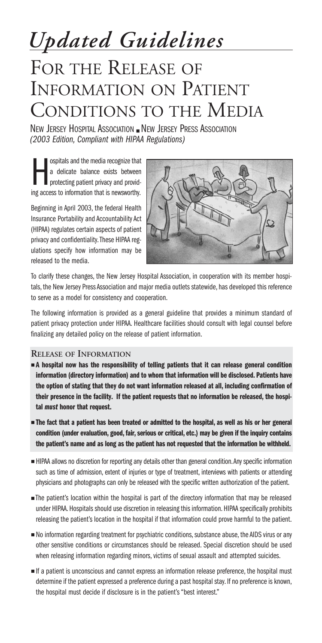*Updated Guidelines*

# FOR THE RELEASE OF INFORMATION ON PATIENT CONDITIONS TO THE MEDIA

NEW JERSEY HOSPITAL ASSOCIATION ■ NEW JERSEY PRESS ASSOCIATION *(2003 Edition, Compliant with HIPAA Regulations)*

ospitals and the media recognize that<br>a delicate balance exists between<br>protecting patient privacy and provid-<br>ing access to information that is newsworthy. ospitals and the media recognize that a delicate balance exists between protecting patient privacy and provid-

Beginning in April 2003, the federal Health Insurance Portability and Accountability Act (HIPAA) regulates certain aspects of patient privacy and confidentiality.These HIPAA regulations specify how information may be released to the media.



To clarify these changes, the New Jersey Hospital Association, in cooperation with its member hospitals, the New Jersey Press Association and major media outlets statewide, has developed this reference to serve as a model for consistency and cooperation.

The following information is provided as a general guideline that provides a minimum standard of patient privacy protection under HIPAA. Healthcare facilities should consult with legal counsel before finalizing any detailed policy on the release of patient information.

#### **RELEASE OF INFORMATION**

- **A hospital now has the responsibility of telling patients that it can release general condition information (directory information) and to whom that information will be disclosed. Patients have the option of stating that they do not want information released at all, including confirmation of their presence in the facility. If the patient requests that no information be released, the hospital** *must* **honor that request.**
- **The fact that a patient has been treated or admitted to the hospital, as well as his or her general condition (under evaluation, good, fair, serious or critical, etc.) may be given if the inquiry contains the patient's name and as long as the patient has not requested that the information be withheld.**
- HIPAA allows no discretion for reporting any details other than general condition. Any specific information such as time of admission, extent of injuries or type of treatment, interviews with patients or attending physicians and photographs can only be released with the specific written authorization of the patient.
- The patient's location within the hospital is part of the directory information that may be released under HIPAA. Hospitals should use discretion in releasing this information. HIPAA specifically prohibits releasing the patient's location in the hospital if that information could prove harmful to the patient.
- No information regarding treatment for psychiatric conditions, substance abuse, the AIDS virus or any other sensitive conditions or circumstances should be released. Special discretion should be used when releasing information regarding minors, victims of sexual assault and attempted suicides.
- If a patient is unconscious and cannot express an information release preference, the hospital must determine if the patient expressed a preference during a past hospital stay. If no preference is known, the hospital must decide if disclosure is in the patient's "best interest."